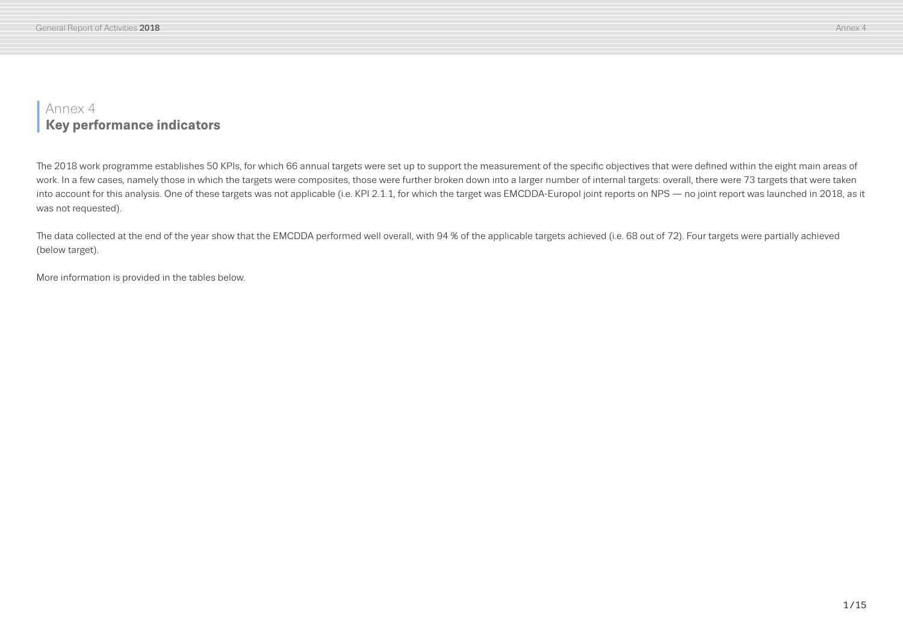# **<sup>I</sup>** Annex 4 **Key performance indicators**

The 2018 work programme establishes 50 KPIs, for which 66 annual targets were set up to support the measurement of the specific objectives that were defined within the eight main areas of work. In a few cases, namely those in which the targets were composites, those were further broken down into a larger number of internal targets: overall, there were 73 targets that were taken into account for this analysis. One of these targets was not applicable (i.e. KPI 2.1.1, for which the target was EMCDDA-Europol joint reports on NPS — no joint report was launched in 2018, as it was not requested).

The data collected at the end of the year show that the EMCDDA performed well overall, with 94 % of the applicable targets achieved (i.e. 68 out of 72). Four targets were partially achieved (below target).

More information is provided in the tables below.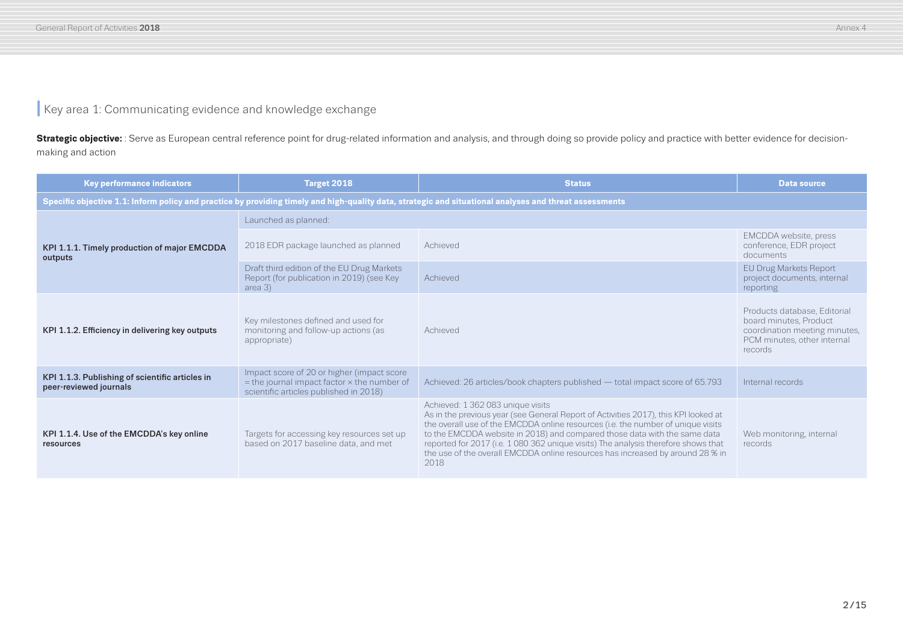### **I** Key area 1: Communicating evidence and knowledge exchange

Strategic objective: : Serve as European central reference point for drug-related information and analysis, and through doing so provide policy and practice with better evidence for decisionmaking and action

| Key performance indicators                                                | Target 2018                                                                                                                                  | <b>Status</b>                                                                                                                                                                                                                                                                                                                                                                                                                                                             | <b>Data source</b>                                                                                                                |
|---------------------------------------------------------------------------|----------------------------------------------------------------------------------------------------------------------------------------------|---------------------------------------------------------------------------------------------------------------------------------------------------------------------------------------------------------------------------------------------------------------------------------------------------------------------------------------------------------------------------------------------------------------------------------------------------------------------------|-----------------------------------------------------------------------------------------------------------------------------------|
|                                                                           |                                                                                                                                              | Specific objective 1.1: Inform policy and practice by providing timely and high-quality data, strategic and situational analyses and threat assessments                                                                                                                                                                                                                                                                                                                   |                                                                                                                                   |
|                                                                           | Launched as planned:                                                                                                                         |                                                                                                                                                                                                                                                                                                                                                                                                                                                                           |                                                                                                                                   |
| KPI 1.1.1. Timely production of major EMCDDA<br>outputs                   | 2018 EDR package launched as planned                                                                                                         | Achieved                                                                                                                                                                                                                                                                                                                                                                                                                                                                  | EMCDDA website, press<br>conference, EDR project<br>documents                                                                     |
|                                                                           | Draft third edition of the EU Drug Markets<br>Report (for publication in 2019) (see Key<br>area 3)                                           | Achieved                                                                                                                                                                                                                                                                                                                                                                                                                                                                  | <b>EU Drug Markets Report</b><br>project documents, internal<br>reporting                                                         |
| KPI 1.1.2. Efficiency in delivering key outputs                           | Key milestones defined and used for<br>monitoring and follow-up actions (as<br>appropriate)                                                  | Achieved                                                                                                                                                                                                                                                                                                                                                                                                                                                                  | Products database, Editorial<br>board minutes, Product<br>coordination meeting minutes,<br>PCM minutes, other internal<br>records |
| KPI 1.1.3. Publishing of scientific articles in<br>peer-reviewed journals | Impact score of 20 or higher (impact score<br>$=$ the journal impact factor $\times$ the number of<br>scientific articles published in 2018) | Achieved: 26 articles/book chapters published — total impact score of 65.793                                                                                                                                                                                                                                                                                                                                                                                              | Internal records                                                                                                                  |
| KPI 1.1.4. Use of the EMCDDA's key online<br>resources                    | Targets for accessing key resources set up<br>based on 2017 baseline data, and met                                                           | Achieved: 1 362 083 unique visits<br>As in the previous year (see General Report of Activities 2017), this KPI looked at<br>the overall use of the EMCDDA online resources (i.e. the number of unique visits<br>to the EMCDDA website in 2018) and compared those data with the same data<br>reported for 2017 (i.e. 1 080 362 unique visits) The analysis therefore shows that<br>the use of the overall EMCDDA online resources has increased by around 28 % in<br>2018 | Web monitoring, internal<br>records                                                                                               |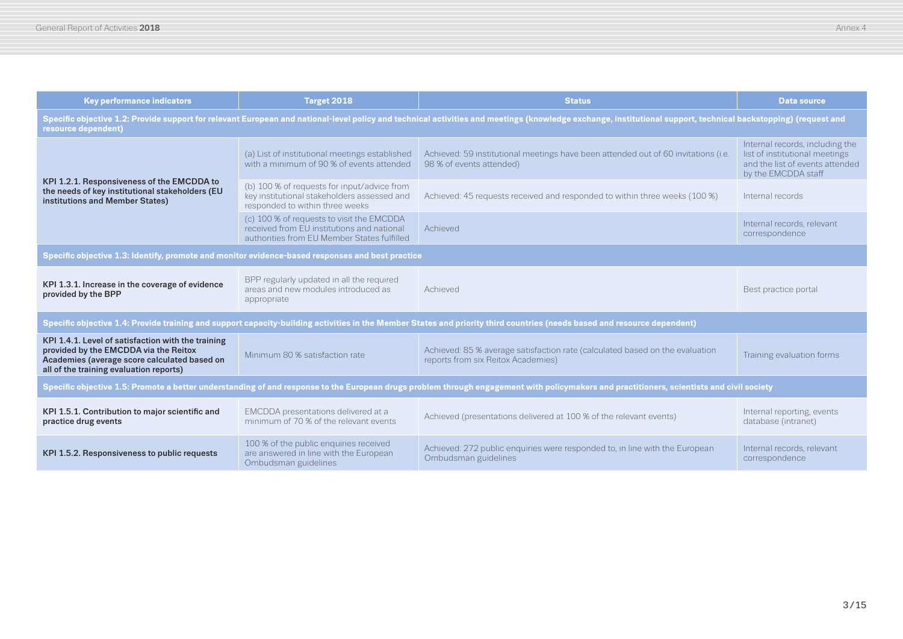| <b>Key performance indicators</b>                                                                                                                                                                                                     | Target 2018                                                                                                                            | <b>Status</b>                                                                                                                                                            | <b>Data source</b>                                                                                                          |  |
|---------------------------------------------------------------------------------------------------------------------------------------------------------------------------------------------------------------------------------------|----------------------------------------------------------------------------------------------------------------------------------------|--------------------------------------------------------------------------------------------------------------------------------------------------------------------------|-----------------------------------------------------------------------------------------------------------------------------|--|
| Specific objective 1.2: Provide support for relevant European and national-level policy and technical activities and meetings (knowledge exchange, institutional support, technical backstopping) (request and<br>resource dependent) |                                                                                                                                        |                                                                                                                                                                          |                                                                                                                             |  |
|                                                                                                                                                                                                                                       | (a) List of institutional meetings established<br>with a minimum of 90 % of events attended                                            | Achieved: 59 institutional meetings have been attended out of 60 invitations (i.e.<br>98 % of events attended)                                                           | Internal records, including the<br>list of institutional meetings<br>and the list of events attended<br>by the EMCDDA staff |  |
| KPI 1.2.1. Responsiveness of the EMCDDA to<br>the needs of key institutional stakeholders (EU<br>institutions and Member States)                                                                                                      | (b) 100 % of requests for input/advice from<br>key institutional stakeholders assessed and<br>responded to within three weeks          | Achieved: 45 requests received and responded to within three weeks (100 %)                                                                                               | Internal records                                                                                                            |  |
|                                                                                                                                                                                                                                       | (c) 100 % of requests to visit the EMCDDA<br>received from EU institutions and national<br>authorities from EU Member States fulfilled | Achieved                                                                                                                                                                 | Internal records, relevant<br>correspondence                                                                                |  |
| Specific objective 1.3: Identify, promote and monitor evidence-based responses and best practice                                                                                                                                      |                                                                                                                                        |                                                                                                                                                                          |                                                                                                                             |  |
| KPI 1.3.1. Increase in the coverage of evidence<br>provided by the BPP                                                                                                                                                                | BPP regularly updated in all the required<br>areas and new modules introduced as<br>appropriate                                        | Achieved                                                                                                                                                                 | Best practice portal                                                                                                        |  |
|                                                                                                                                                                                                                                       |                                                                                                                                        | Specific objective 1.4: Provide training and support capacity-building activities in the Member States and priority third countries (needs based and resource dependent) |                                                                                                                             |  |
| KPI 1.4.1. Level of satisfaction with the training<br>provided by the EMCDDA via the Reitox<br>Academies (average score calculated based on<br>all of the training evaluation reports)                                                | Minimum 80 % satisfaction rate                                                                                                         | Achieved: 85 % average satisfaction rate (calculated based on the evaluation<br>reports from six Reitox Academies)                                                       | Training evaluation forms                                                                                                   |  |
| Specific objective 1.5: Promote a better understanding of and response to the European drugs problem through engagement with policymakers and practitioners, scientists and civil society                                             |                                                                                                                                        |                                                                                                                                                                          |                                                                                                                             |  |
| KPI 1.5.1. Contribution to major scientific and<br>practice drug events                                                                                                                                                               | EMCDDA presentations delivered at a<br>minimum of 70 % of the relevant events                                                          | Achieved (presentations delivered at 100 % of the relevant events)                                                                                                       | Internal reporting, events<br>database (intranet)                                                                           |  |
| KPI 1.5.2. Responsiveness to public requests                                                                                                                                                                                          | 100 % of the public enquiries received<br>are answered in line with the European<br>Ombudsman guidelines                               | Achieved: 272 public enquiries were responded to, in line with the European<br>Ombudsman guidelines                                                                      | Internal records, relevant<br>correspondence                                                                                |  |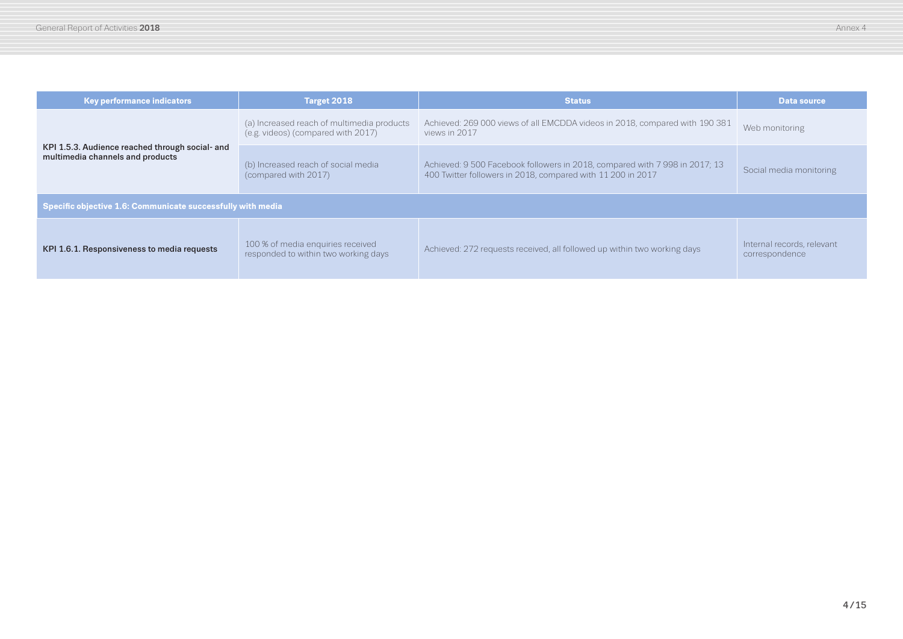| <b>Key performance indicators</b>                                                   | Target 2018                                                                      | <b>Status</b>                                                                                                                              | Data source                                  |  |
|-------------------------------------------------------------------------------------|----------------------------------------------------------------------------------|--------------------------------------------------------------------------------------------------------------------------------------------|----------------------------------------------|--|
| KPI 1.5.3. Audience reached through social- and<br>multimedia channels and products | (a) Increased reach of multimedia products<br>(e.g. videos) (compared with 2017) | Achieved: 269 000 views of all EMCDDA videos in 2018, compared with 190 381<br>views in 2017                                               | Web monitoring                               |  |
|                                                                                     | (b) Increased reach of social media<br>(compared with 2017)                      | Achieved: 9 500 Facebook followers in 2018, compared with 7 998 in 2017; 13<br>400 Twitter followers in 2018, compared with 11 200 in 2017 | Social media monitoring                      |  |
| Specific objective 1.6: Communicate successfully with media                         |                                                                                  |                                                                                                                                            |                                              |  |
| KPI 1.6.1. Responsiveness to media requests                                         | 100 % of media enquiries received<br>responded to within two working days        | Achieved: 272 requests received, all followed up within two working days                                                                   | Internal records, relevant<br>correspondence |  |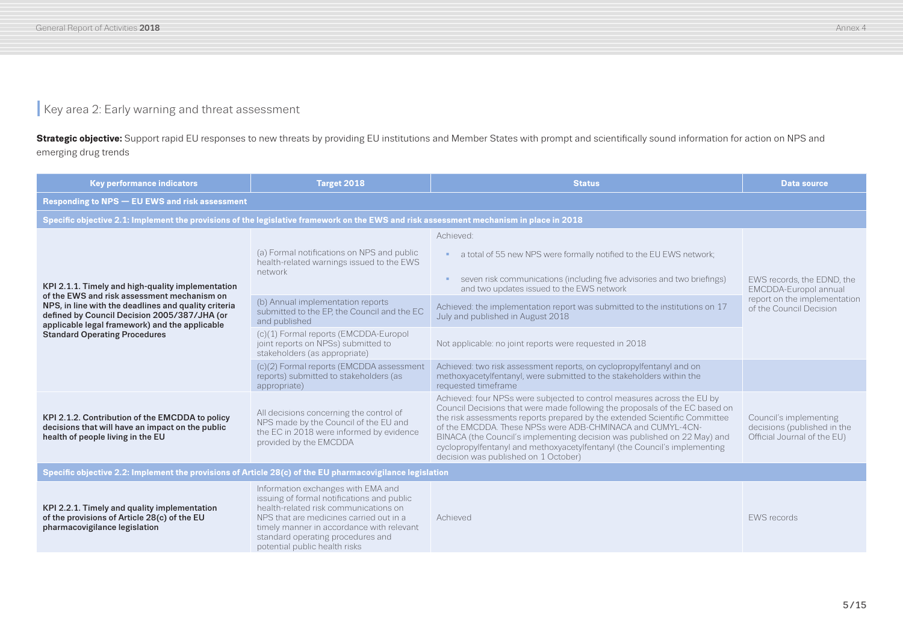## **I** Key area 2: Early warning and threat assessment

**Strategic objective:** Support rapid EU responses to new threats by providing EU institutions and Member States with prompt and scientifically sound information for action on NPS and emerging drug trends

| <b>Key performance indicators</b>                                                                                                                                                                                                                                                                  | Target 2018                                                                                                                                                                                                                                                                             | <b>Status</b>                                                                                                                                                                                                                                                                                                                                                                                                                                                                                       | <b>Data source</b>                                                                                             |
|----------------------------------------------------------------------------------------------------------------------------------------------------------------------------------------------------------------------------------------------------------------------------------------------------|-----------------------------------------------------------------------------------------------------------------------------------------------------------------------------------------------------------------------------------------------------------------------------------------|-----------------------------------------------------------------------------------------------------------------------------------------------------------------------------------------------------------------------------------------------------------------------------------------------------------------------------------------------------------------------------------------------------------------------------------------------------------------------------------------------------|----------------------------------------------------------------------------------------------------------------|
| <b>Responding to NPS - EU EWS and risk assessment</b>                                                                                                                                                                                                                                              |                                                                                                                                                                                                                                                                                         |                                                                                                                                                                                                                                                                                                                                                                                                                                                                                                     |                                                                                                                |
| Specific objective 2.1: Implement the provisions of the legislative framework on the EWS and risk assessment mechanism in place in 2018                                                                                                                                                            |                                                                                                                                                                                                                                                                                         |                                                                                                                                                                                                                                                                                                                                                                                                                                                                                                     |                                                                                                                |
| KPI 2.1.1. Timely and high-quality implementation<br>of the EWS and risk assessment mechanism on<br>NPS, in line with the deadlines and quality criteria<br>defined by Council Decision 2005/387/JHA (or<br>applicable legal framework) and the applicable<br><b>Standard Operating Procedures</b> | (a) Formal notifications on NPS and public<br>health-related warnings issued to the EWS<br>network                                                                                                                                                                                      | Achieved:<br>a total of 55 new NPS were formally notified to the EU EWS network;<br>к.<br>seven risk communications (including five advisories and two briefings)<br>and two updates issued to the EWS network                                                                                                                                                                                                                                                                                      | EWS records, the EDND, the<br>EMCDDA-Europol annual<br>report on the implementation<br>of the Council Decision |
|                                                                                                                                                                                                                                                                                                    | (b) Annual implementation reports<br>submitted to the EP, the Council and the EC<br>and published                                                                                                                                                                                       | Achieved: the implementation report was submitted to the institutions on 17<br>July and published in August 2018                                                                                                                                                                                                                                                                                                                                                                                    |                                                                                                                |
|                                                                                                                                                                                                                                                                                                    | (c)(1) Formal reports (EMCDDA-Europol<br>joint reports on NPSs) submitted to<br>stakeholders (as appropriate)                                                                                                                                                                           | Not applicable: no joint reports were requested in 2018                                                                                                                                                                                                                                                                                                                                                                                                                                             |                                                                                                                |
|                                                                                                                                                                                                                                                                                                    | (c)(2) Formal reports (EMCDDA assessment<br>reports) submitted to stakeholders (as<br>appropriate)                                                                                                                                                                                      | Achieved: two risk assessment reports, on cyclopropylfentanyl and on<br>methoxyacetylfentanyl, were submitted to the stakeholders within the<br>requested timeframe                                                                                                                                                                                                                                                                                                                                 |                                                                                                                |
| KPI 2.1.2. Contribution of the EMCDDA to policy<br>decisions that will have an impact on the public<br>health of people living in the EU                                                                                                                                                           | All decisions concerning the control of<br>NPS made by the Council of the EU and<br>the EC in 2018 were informed by evidence<br>provided by the EMCDDA                                                                                                                                  | Achieved: four NPSs were subjected to control measures across the EU by<br>Council Decisions that were made following the proposals of the EC based on<br>the risk assessments reports prepared by the extended Scientific Committee<br>of the EMCDDA. These NPSs were ADB-CHMINACA and CUMYL-4CN-<br>BINACA (the Council's implementing decision was published on 22 May) and<br>cyclopropylfentanyl and methoxyacetylfentanyl (the Council's implementing<br>decision was published on 1 October) | Council's implementing<br>decisions (published in the<br>Official Journal of the EU)                           |
| Specific objective 2.2: Implement the provisions of Article 28(c) of the EU pharmacovigilance legislation                                                                                                                                                                                          |                                                                                                                                                                                                                                                                                         |                                                                                                                                                                                                                                                                                                                                                                                                                                                                                                     |                                                                                                                |
| KPI 2.2.1. Timely and quality implementation<br>of the provisions of Article 28(c) of the EU<br>pharmacovigilance legislation                                                                                                                                                                      | Information exchanges with EMA and<br>issuing of formal notifications and public<br>health-related risk communications on<br>NPS that are medicines carried out in a<br>timely manner in accordance with relevant<br>standard operating procedures and<br>potential public health risks | Achieved                                                                                                                                                                                                                                                                                                                                                                                                                                                                                            | <b>EWS</b> records                                                                                             |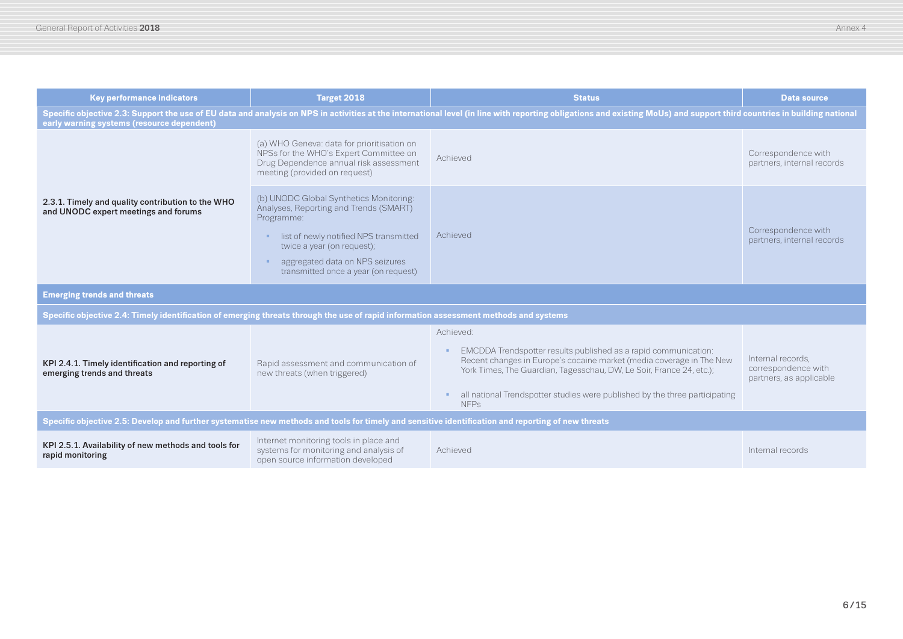| <b>Key performance indicators</b>                                                                                                     | Target 2018                                                                                                                                                                                                                                        | <b>Status</b>                                                                                                                                                                                                                                                                                                              | <b>Data source</b>                                                  |  |  |
|---------------------------------------------------------------------------------------------------------------------------------------|----------------------------------------------------------------------------------------------------------------------------------------------------------------------------------------------------------------------------------------------------|----------------------------------------------------------------------------------------------------------------------------------------------------------------------------------------------------------------------------------------------------------------------------------------------------------------------------|---------------------------------------------------------------------|--|--|
| early warning systems (resource dependent)                                                                                            | Specific objective 2.3: Support the use of EU data and analysis on NPS in activities at the international level (in line with reporting obligations and existing MoUs) and support third countries in building national                            |                                                                                                                                                                                                                                                                                                                            |                                                                     |  |  |
| 2.3.1. Timely and quality contribution to the WHO<br>and UNODC expert meetings and forums                                             | (a) WHO Geneva: data for prioritisation on<br>NPSs for the WHO's Expert Committee on<br>Drug Dependence annual risk assessment<br>meeting (provided on request)                                                                                    | Achieved                                                                                                                                                                                                                                                                                                                   | Correspondence with<br>partners, internal records                   |  |  |
|                                                                                                                                       | (b) UNODC Global Synthetics Monitoring:<br>Analyses, Reporting and Trends (SMART)<br>Programme:<br>list of newly notified NPS transmitted<br>twice a year (on request);<br>aggregated data on NPS seizures<br>transmitted once a year (on request) | Achieved                                                                                                                                                                                                                                                                                                                   | Correspondence with<br>partners, internal records                   |  |  |
| <b>Emerging trends and threats</b>                                                                                                    |                                                                                                                                                                                                                                                    |                                                                                                                                                                                                                                                                                                                            |                                                                     |  |  |
| Specific objective 2.4: Timely identification of emerging threats through the use of rapid information assessment methods and systems |                                                                                                                                                                                                                                                    |                                                                                                                                                                                                                                                                                                                            |                                                                     |  |  |
| KPI 2.4.1. Timely identification and reporting of<br>emerging trends and threats                                                      | Rapid assessment and communication of<br>new threats (when triggered)                                                                                                                                                                              | Achieved:<br>EMCDDA Trendspotter results published as a rapid communication:<br>Recent changes in Europe's cocaine market (media coverage in The New<br>York Times, The Guardian, Tagesschau, DW, Le Soir, France 24, etc.);<br>all national Trendspotter studies were published by the three participating<br><b>NFPs</b> | Internal records,<br>correspondence with<br>partners, as applicable |  |  |
|                                                                                                                                       | Specific objective 2.5: Develop and further systematise new methods and tools for timely and sensitive identification and reporting of new threats                                                                                                 |                                                                                                                                                                                                                                                                                                                            |                                                                     |  |  |
| KPI 2.5.1. Availability of new methods and tools for<br>rapid monitoring                                                              | Internet monitoring tools in place and<br>systems for monitoring and analysis of<br>open source information developed                                                                                                                              | Achieved                                                                                                                                                                                                                                                                                                                   | Internal records                                                    |  |  |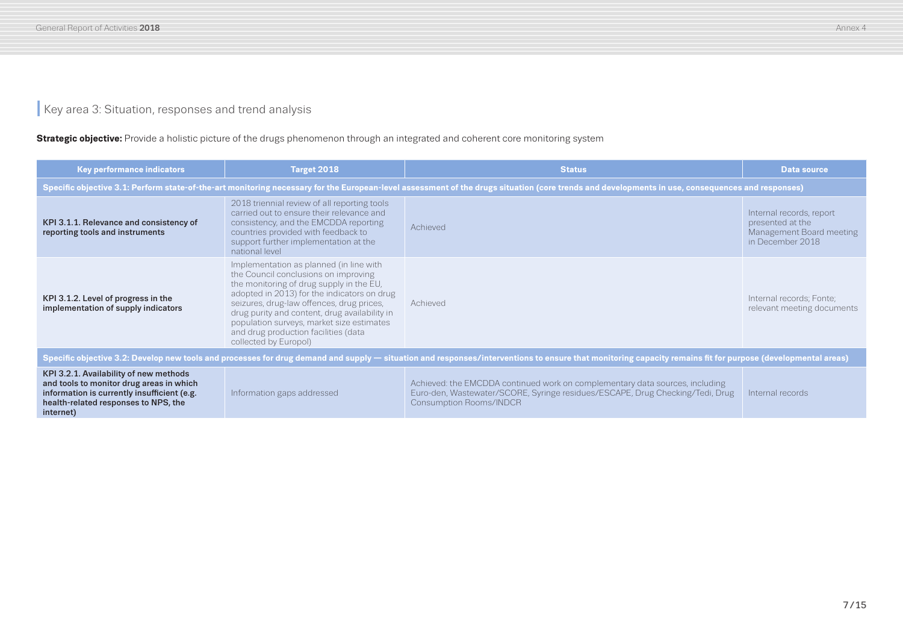## **I** Key area 3: Situation, responses and trend analysis

#### **Strategic objective:** Provide a holistic picture of the drugs phenomenon through an integrated and coherent core monitoring system

| <b>Key performance indicators</b>                                                                                                                                                                           | Target 2018                                                                                                                                                                                                                                                                                                                                                                            | <b>Status</b>                                                                                                                                                                                    | <b>Data source</b>                                                                           |
|-------------------------------------------------------------------------------------------------------------------------------------------------------------------------------------------------------------|----------------------------------------------------------------------------------------------------------------------------------------------------------------------------------------------------------------------------------------------------------------------------------------------------------------------------------------------------------------------------------------|--------------------------------------------------------------------------------------------------------------------------------------------------------------------------------------------------|----------------------------------------------------------------------------------------------|
|                                                                                                                                                                                                             |                                                                                                                                                                                                                                                                                                                                                                                        | Specific objective 3.1: Perform state-of-the-art monitoring necessary for the European-level assessment of the drugs situation (core trends and developments in use, consequences and responses) |                                                                                              |
| KPI 3.1.1. Relevance and consistency of<br>reporting tools and instruments                                                                                                                                  | 2018 triennial review of all reporting tools<br>carried out to ensure their relevance and<br>consistency, and the EMCDDA reporting<br>countries provided with feedback to<br>support further implementation at the<br>national level                                                                                                                                                   | Achieved                                                                                                                                                                                         | Internal records, report<br>presented at the<br>Management Board meeting<br>in December 2018 |
| KPI 3.1.2. Level of progress in the<br>implementation of supply indicators                                                                                                                                  | Implementation as planned (in line with<br>the Council conclusions on improving<br>the monitoring of drug supply in the EU,<br>adopted in 2013) for the indicators on drug<br>seizures, drug-law offences, drug prices,<br>drug purity and content, drug availability in<br>population surveys, market size estimates<br>and drug production facilities (data<br>collected by Europol) | Achieved                                                                                                                                                                                         | Internal records; Fonte;<br>relevant meeting documents                                       |
| Specific objective 3.2: Develop new tools and processes for drug demand and supply — situation and responses/interventions to ensure that monitoring capacity remains fit for purpose (developmental areas) |                                                                                                                                                                                                                                                                                                                                                                                        |                                                                                                                                                                                                  |                                                                                              |
| KPI 3.2.1. Availability of new methods<br>and tools to monitor drug areas in which<br>information is currently insufficient (e.g.<br>health-related responses to NPS, the<br>internet)                      | Information gaps addressed                                                                                                                                                                                                                                                                                                                                                             | Achieved: the EMCDDA continued work on complementary data sources, including<br>Euro-den, Wastewater/SCORE, Syringe residues/ESCAPE, Drug Checking/Tedi, Drug<br><b>Consumption Rooms/INDCR</b>  | Internal records                                                                             |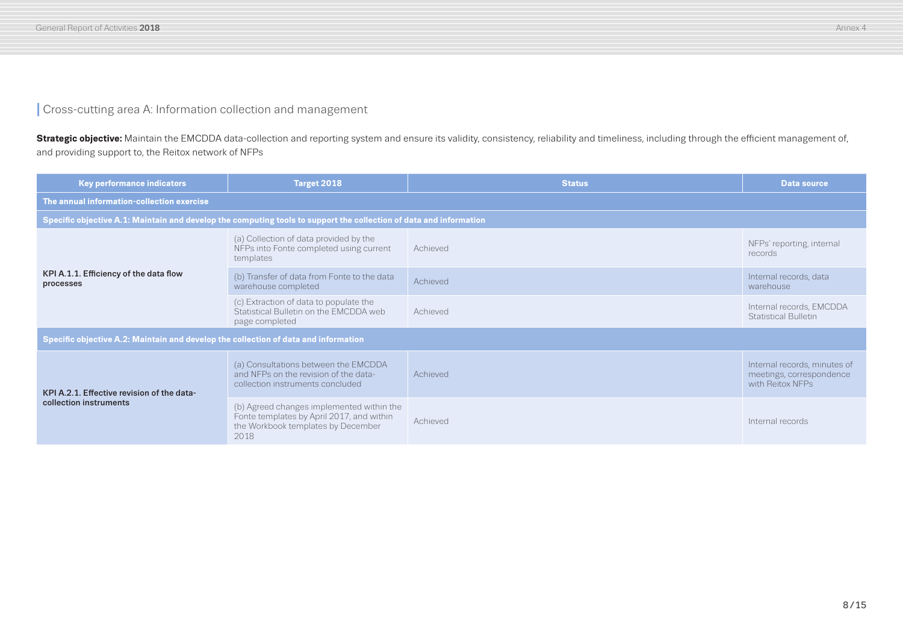#### **I** Cross-cutting area A: Information collection and management

Strategic objective: Maintain the EMCDDA data-collection and reporting system and ensure its validity, consistency, reliability and timeliness, including through the efficient management of, and providing support to, the Reitox network of NFPs

| <b>Key performance indicators</b>                                                                                  | Target 2018                                                                                                                          | <b>Status</b>   | Data source                                                                  |
|--------------------------------------------------------------------------------------------------------------------|--------------------------------------------------------------------------------------------------------------------------------------|-----------------|------------------------------------------------------------------------------|
| The annual information-collection exercise                                                                         |                                                                                                                                      |                 |                                                                              |
| Specific objective A.1: Maintain and develop the computing tools to support the collection of data and information |                                                                                                                                      |                 |                                                                              |
| KPI A.1.1. Efficiency of the data flow<br>processes                                                                | (a) Collection of data provided by the<br>NFPs into Fonte completed using current<br>templates                                       | Achieved        | NFPs' reporting, internal<br>records                                         |
|                                                                                                                    | (b) Transfer of data from Fonte to the data<br>warehouse completed                                                                   | <b>Achieved</b> | Internal records, data<br>warehouse                                          |
|                                                                                                                    | (c) Extraction of data to populate the<br>Statistical Bulletin on the EMCDDA web<br>page completed                                   | Achieved        | Internal records, EMCDDA<br><b>Statistical Bulletin</b>                      |
| Specific objective A.2: Maintain and develop the collection of data and information                                |                                                                                                                                      |                 |                                                                              |
| KPI A.2.1. Effective revision of the data-<br>collection instruments                                               | (a) Consultations between the EMCDDA<br>and NFPs on the revision of the data-<br>collection instruments concluded                    | Achieved        | Internal records, minutes of<br>meetings, correspondence<br>with Reitox NFPs |
|                                                                                                                    | (b) Agreed changes implemented within the<br>Fonte templates by April 2017, and within<br>the Workbook templates by December<br>2018 | Achieved        | Internal records                                                             |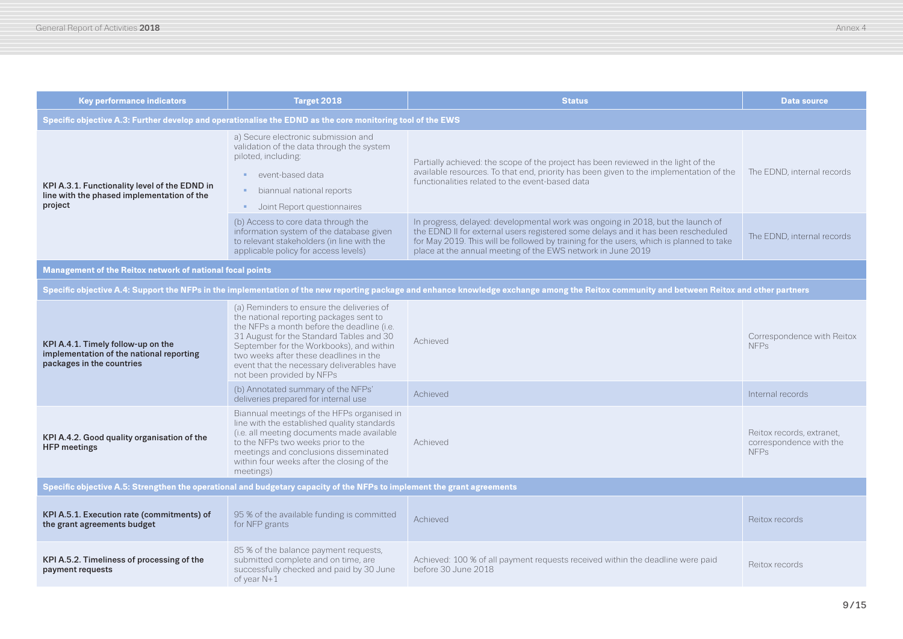| <b>Key performance indicators</b>                                                                                       | Target 2018                                                                                                                                                                                                                                                                                                                                     | <b>Status</b>                                                                                                                                                                                                                                                                                                                  | <b>Data source</b>                                                  |  |
|-------------------------------------------------------------------------------------------------------------------------|-------------------------------------------------------------------------------------------------------------------------------------------------------------------------------------------------------------------------------------------------------------------------------------------------------------------------------------------------|--------------------------------------------------------------------------------------------------------------------------------------------------------------------------------------------------------------------------------------------------------------------------------------------------------------------------------|---------------------------------------------------------------------|--|
| Specific objective A.3: Further develop and operationalise the EDND as the core monitoring tool of the EWS              |                                                                                                                                                                                                                                                                                                                                                 |                                                                                                                                                                                                                                                                                                                                |                                                                     |  |
| KPI A.3.1. Functionality level of the EDND in<br>line with the phased implementation of the<br>project                  | a) Secure electronic submission and<br>validation of the data through the system<br>piloted, including:<br>event-based data<br>biannual national reports<br>Joint Report questionnaires                                                                                                                                                         | Partially achieved: the scope of the project has been reviewed in the light of the<br>available resources. To that end, priority has been given to the implementation of the<br>functionalities related to the event-based data                                                                                                | The EDND, internal records                                          |  |
|                                                                                                                         | (b) Access to core data through the<br>information system of the database given<br>to relevant stakeholders (in line with the<br>applicable policy for access levels)                                                                                                                                                                           | In progress, delayed: developmental work was ongoing in 2018, but the launch of<br>the EDND II for external users registered some delays and it has been rescheduled<br>for May 2019. This will be followed by training for the users, which is planned to take<br>place at the annual meeting of the EWS network in June 2019 | The EDND, internal records                                          |  |
| Management of the Reitox network of national focal points                                                               |                                                                                                                                                                                                                                                                                                                                                 |                                                                                                                                                                                                                                                                                                                                |                                                                     |  |
|                                                                                                                         |                                                                                                                                                                                                                                                                                                                                                 | Specific objective A.4: Support the NFPs in the implementation of the new reporting package and enhance knowledge exchange among the Reitox community and between Reitox and other partners                                                                                                                                    |                                                                     |  |
| KPI A.4.1. Timely follow-up on the<br>implementation of the national reporting<br>packages in the countries             | (a) Reminders to ensure the deliveries of<br>the national reporting packages sent to<br>the NFPs a month before the deadline (i.e.<br>31 August for the Standard Tables and 30<br>September for the Workbooks), and within<br>two weeks after these deadlines in the<br>event that the necessary deliverables have<br>not been provided by NFPs | Achieved                                                                                                                                                                                                                                                                                                                       | Correspondence with Reitox<br><b>NFPs</b>                           |  |
|                                                                                                                         | (b) Annotated summary of the NFPs'<br>deliveries prepared for internal use                                                                                                                                                                                                                                                                      | Achieved                                                                                                                                                                                                                                                                                                                       | Internal records                                                    |  |
| KPI A.4.2. Good quality organisation of the<br><b>HFP</b> meetings                                                      | Biannual meetings of the HFPs organised in<br>line with the established quality standards<br>(i.e. all meeting documents made available<br>to the NFPs two weeks prior to the<br>meetings and conclusions disseminated<br>within four weeks after the closing of the<br>meetings)                                                               | Achieved                                                                                                                                                                                                                                                                                                                       | Reitox records, extranet,<br>correspondence with the<br><b>NFPs</b> |  |
| Specific objective A.5: Strengthen the operational and budgetary capacity of the NFPs to implement the grant agreements |                                                                                                                                                                                                                                                                                                                                                 |                                                                                                                                                                                                                                                                                                                                |                                                                     |  |
| KPI A.5.1. Execution rate (commitments) of<br>the grant agreements budget                                               | 95 % of the available funding is committed<br>for NFP grants                                                                                                                                                                                                                                                                                    | Achieved                                                                                                                                                                                                                                                                                                                       | Reitox records                                                      |  |
| KPI A.5.2. Timeliness of processing of the<br>payment requests                                                          | 85 % of the balance payment requests,<br>submitted complete and on time, are<br>successfully checked and paid by 30 June<br>of year $N+1$                                                                                                                                                                                                       | Achieved: 100 % of all payment requests received within the deadline were paid<br>before 30 June 2018                                                                                                                                                                                                                          | Reitox records                                                      |  |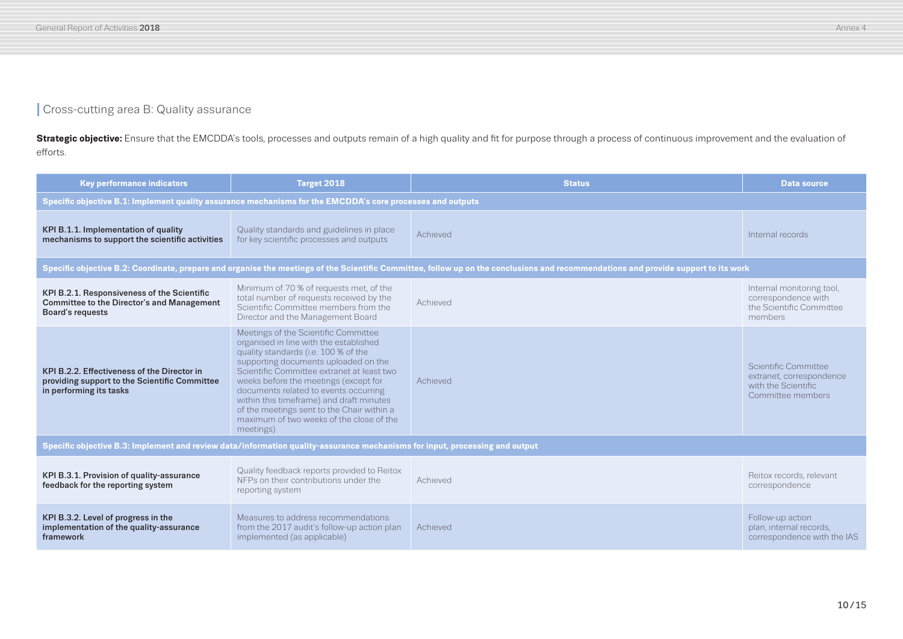## **I** Cross-cutting area B: Quality assurance

**Strategic objective:** Ensure that the EMCDDA's tools, processes and outputs remain of a high quality and fit for purpose through a process of continuous improvement and the evaluation of efforts.

| <b>Key performance indicators</b>                                                                                           | Target 2018                                                                                                                                                                                                                                                                                                                                                                                                                                       | <b>Status</b>                                                                                                                                                                       | <b>Data source</b>                                                                           |
|-----------------------------------------------------------------------------------------------------------------------------|---------------------------------------------------------------------------------------------------------------------------------------------------------------------------------------------------------------------------------------------------------------------------------------------------------------------------------------------------------------------------------------------------------------------------------------------------|-------------------------------------------------------------------------------------------------------------------------------------------------------------------------------------|----------------------------------------------------------------------------------------------|
| Specific objective B.1: Implement quality assurance mechanisms for the EMCDDA's core processes and outputs                  |                                                                                                                                                                                                                                                                                                                                                                                                                                                   |                                                                                                                                                                                     |                                                                                              |
| KPI B.1.1. Implementation of quality<br>mechanisms to support the scientific activities                                     | Quality standards and guidelines in place<br>for key scientific processes and outputs                                                                                                                                                                                                                                                                                                                                                             | Achieved                                                                                                                                                                            | Internal records                                                                             |
|                                                                                                                             |                                                                                                                                                                                                                                                                                                                                                                                                                                                   | Specific objective B.2: Coordinate, prepare and organise the meetings of the Scientific Committee, follow up on the conclusions and recommendations and provide support to its work |                                                                                              |
| KPI B.2.1. Responsiveness of the Scientific<br>Committee to the Director's and Management<br>Board's requests               | Minimum of 70 % of requests met, of the<br>total number of requests received by the<br>Scientific Committee members from the<br>Director and the Management Board                                                                                                                                                                                                                                                                                 | Achieved                                                                                                                                                                            | Internal monitoring tool,<br>correspondence with<br>the Scientific Committee<br>members      |
| KPI B.2.2. Effectiveness of the Director in<br>providing support to the Scientific Committee<br>in performing its tasks     | Meetings of the Scientific Committee<br>organised in line with the established<br>quality standards (i.e. 100 % of the<br>supporting documents uploaded on the<br>Scientific Committee extranet at least two<br>weeks before the meetings (except for<br>documents related to events occurring<br>within this timeframe) and draft minutes<br>of the meetings sent to the Chair within a<br>maximum of two weeks of the close of the<br>meetings) | Achieved                                                                                                                                                                            | Scientific Committee<br>extranet, correspondence<br>with the Scientific<br>Committee members |
| Specific objective B.3: Implement and review data/information quality-assurance mechanisms for input, processing and output |                                                                                                                                                                                                                                                                                                                                                                                                                                                   |                                                                                                                                                                                     |                                                                                              |
| KPI B.3.1. Provision of quality-assurance<br>feedback for the reporting system                                              | Quality feedback reports provided to Reitox<br>NFPs on their contributions under the<br>reporting system                                                                                                                                                                                                                                                                                                                                          | Achieved                                                                                                                                                                            | Reitox records, relevant<br>correspondence                                                   |
| KPI B.3.2. Level of progress in the<br>implementation of the quality-assurance<br>framework                                 | Measures to address recommendations<br>from the 2017 audit's follow-up action plan<br>implemented (as applicable)                                                                                                                                                                                                                                                                                                                                 | Achieved                                                                                                                                                                            | Follow-up action<br>plan, internal records,<br>correspondence with the IAS                   |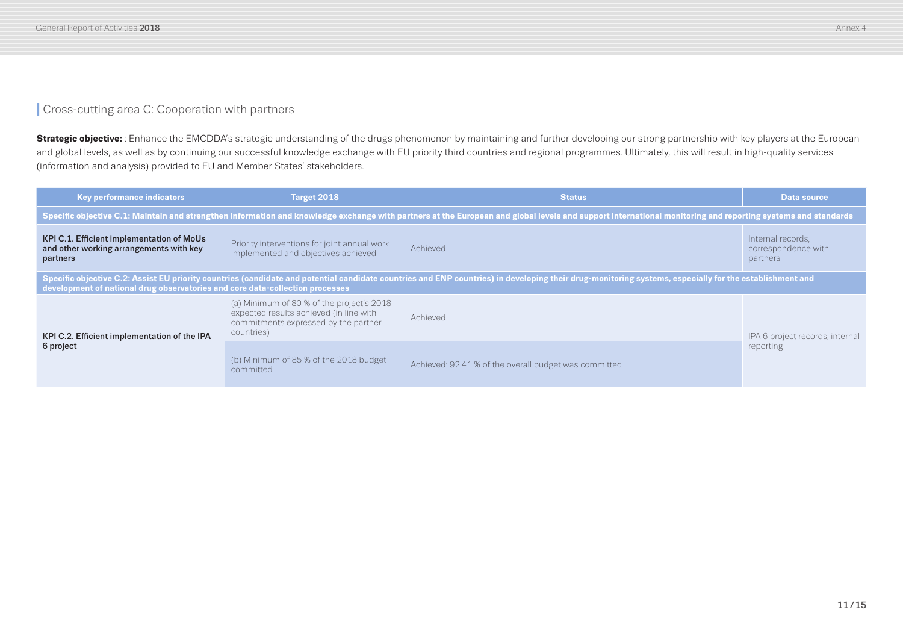## **I** Cross-cutting area C: Cooperation with partners

**Strategic objective:** : Enhance the EMCDDA's strategic understanding of the drugs phenomenon by maintaining and further developing our strong partnership with key players at the European and global levels, as well as by continuing our successful knowledge exchange with EU priority third countries and regional programmes. Ultimately, this will result in high-quality services (information and analysis) provided to EU and Member States' stakeholders.

| <b>Key performance indicators</b>                                                                       | <b>Target 2018</b>                                                                                                                                                                                          | <b>Status</b>                                                                                                                                                                                          | <b>Data source</b>                                   |  |  |
|---------------------------------------------------------------------------------------------------------|-------------------------------------------------------------------------------------------------------------------------------------------------------------------------------------------------------------|--------------------------------------------------------------------------------------------------------------------------------------------------------------------------------------------------------|------------------------------------------------------|--|--|
|                                                                                                         | Specific objective C.1: Maintain and strengthen information and knowledge exchange with partners at the European and global levels and support international monitoring and reporting systems and standards |                                                                                                                                                                                                        |                                                      |  |  |
| <b>KPI C.1. Efficient implementation of MoUs</b><br>and other working arrangements with key<br>partners | Priority interventions for joint annual work<br>implemented and objectives achieved                                                                                                                         | Achieved                                                                                                                                                                                               | Internal records,<br>correspondence with<br>partners |  |  |
| development of national drug observatories and core data-collection processes                           |                                                                                                                                                                                                             | Specific objective C.2: Assist EU priority countries (candidate and potential candidate countries and ENP countries) in developing their drug-monitoring systems, especially for the establishment and |                                                      |  |  |
| KPI C.2. Efficient implementation of the IPA<br>6 project                                               | (a) Minimum of 80 % of the project's 2018<br>expected results achieved (in line with<br>commitments expressed by the partner<br>countries)                                                                  | Achieved                                                                                                                                                                                               | IPA 6 project records, internal<br>reporting         |  |  |
|                                                                                                         | (b) Minimum of 85 % of the 2018 budget<br>committed                                                                                                                                                         | Achieved: 92.41 % of the overall budget was committed                                                                                                                                                  |                                                      |  |  |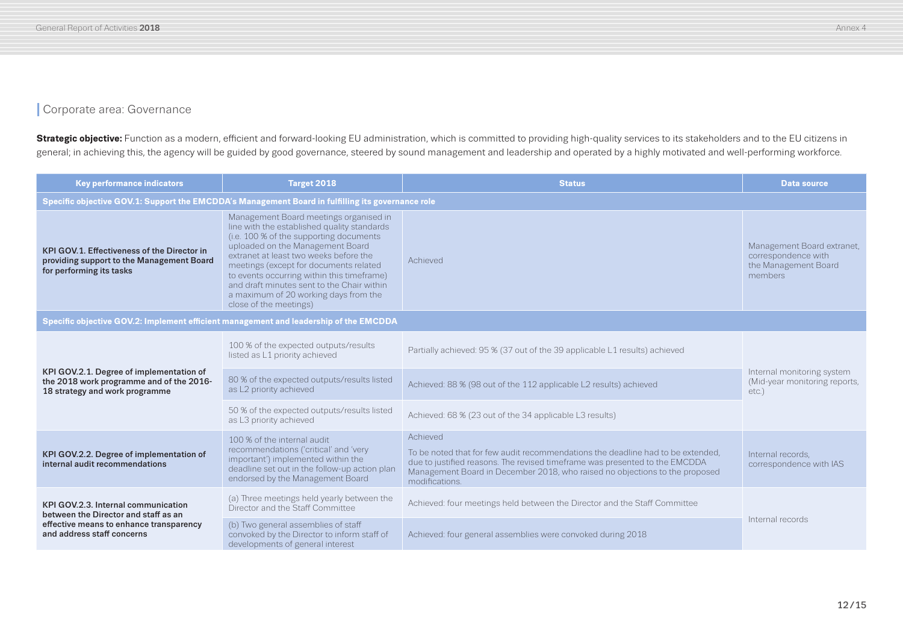### **I** Corporate area: Governance

Strategic objective: Function as a modern, efficient and forward-looking EU administration, which is committed to providing high-quality services to its stakeholders and to the EU citizens in general; in achieving this, the agency will be guided by good governance, steered by sound management and leadership and operated by a highly motivated and well-performing workforce.

| <b>Key performance indicators</b>                                                                                                                    | Target 2018                                                                                                                                                                                                                                                                                                                                                                                                             | <b>Status</b>                                                                                                                                                                                                                                                               | <b>Data source</b>                                                                   |  |  |
|------------------------------------------------------------------------------------------------------------------------------------------------------|-------------------------------------------------------------------------------------------------------------------------------------------------------------------------------------------------------------------------------------------------------------------------------------------------------------------------------------------------------------------------------------------------------------------------|-----------------------------------------------------------------------------------------------------------------------------------------------------------------------------------------------------------------------------------------------------------------------------|--------------------------------------------------------------------------------------|--|--|
|                                                                                                                                                      | Specific objective GOV.1: Support the EMCDDA's Management Board in fulfilling its governance role                                                                                                                                                                                                                                                                                                                       |                                                                                                                                                                                                                                                                             |                                                                                      |  |  |
| KPI GOV.1. Effectiveness of the Director in<br>providing support to the Management Board<br>for performing its tasks                                 | Management Board meetings organised in<br>line with the established quality standards<br>(i.e. 100 % of the supporting documents<br>uploaded on the Management Board<br>extranet at least two weeks before the<br>meetings (except for documents related<br>to events occurring within this timeframe)<br>and draft minutes sent to the Chair within<br>a maximum of 20 working days from the<br>close of the meetings) | Achieved                                                                                                                                                                                                                                                                    | Management Board extranet,<br>correspondence with<br>the Management Board<br>members |  |  |
| Specific objective GOV.2: Implement efficient management and leadership of the EMCDDA                                                                |                                                                                                                                                                                                                                                                                                                                                                                                                         |                                                                                                                                                                                                                                                                             |                                                                                      |  |  |
|                                                                                                                                                      | 100 % of the expected outputs/results<br>listed as L1 priority achieved                                                                                                                                                                                                                                                                                                                                                 | Partially achieved: 95 % (37 out of the 39 applicable L1 results) achieved                                                                                                                                                                                                  | Internal monitoring system<br>(Mid-year monitoring reports,<br>etc.)                 |  |  |
| KPI GOV.2.1. Degree of implementation of<br>the 2018 work programme and of the 2016-<br>18 strategy and work programme                               | 80 % of the expected outputs/results listed<br>as L2 priority achieved                                                                                                                                                                                                                                                                                                                                                  | Achieved: 88 % (98 out of the 112 applicable L2 results) achieved                                                                                                                                                                                                           |                                                                                      |  |  |
|                                                                                                                                                      | 50 % of the expected outputs/results listed<br>as L3 priority achieved                                                                                                                                                                                                                                                                                                                                                  | Achieved: 68 % (23 out of the 34 applicable L3 results)                                                                                                                                                                                                                     |                                                                                      |  |  |
| KPI GOV.2.2. Degree of implementation of<br>internal audit recommendations                                                                           | 100 % of the internal audit<br>recommendations ('critical' and 'very<br>important') implemented within the<br>deadline set out in the follow-up action plan<br>endorsed by the Management Board                                                                                                                                                                                                                         | Achieved<br>To be noted that for few audit recommendations the deadline had to be extended.<br>due to justified reasons. The revised timeframe was presented to the EMCDDA<br>Management Board in December 2018, who raised no objections to the proposed<br>modifications. | Internal records.<br>correspondence with IAS                                         |  |  |
| KPI GOV.2.3. Internal communication<br>between the Director and staff as an<br>effective means to enhance transparency<br>and address staff concerns | (a) Three meetings held yearly between the<br>Director and the Staff Committee                                                                                                                                                                                                                                                                                                                                          | Achieved: four meetings held between the Director and the Staff Committee                                                                                                                                                                                                   |                                                                                      |  |  |
|                                                                                                                                                      | (b) Two general assemblies of staff<br>convoked by the Director to inform staff of<br>developments of general interest                                                                                                                                                                                                                                                                                                  | Achieved: four general assemblies were convoked during 2018                                                                                                                                                                                                                 | Internal records                                                                     |  |  |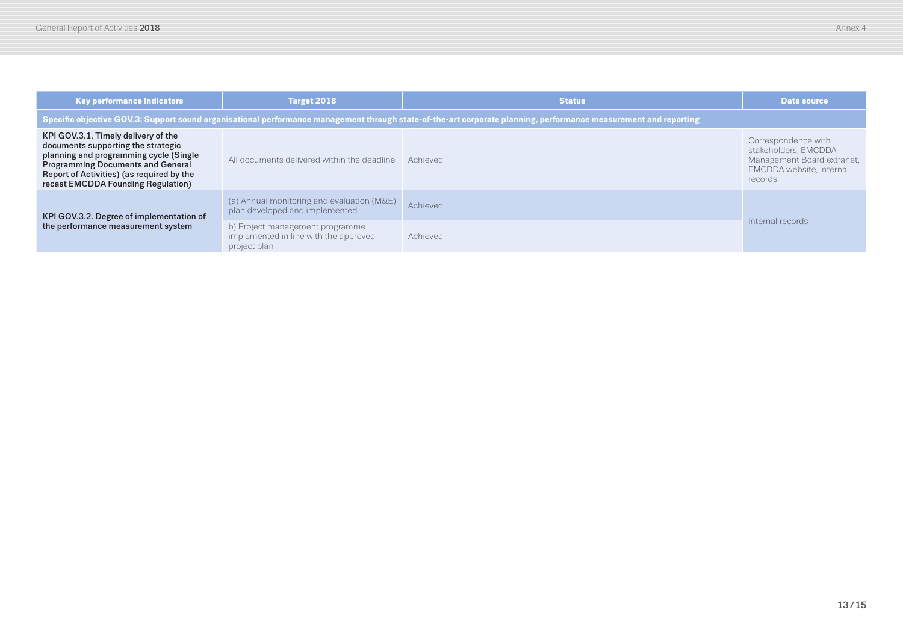| <b>Key performance indicators</b>                                                                                                                                                                                                                  | Target 2018                                                                                                                                                      | <b>Status</b> | <b>Data source</b>                                                                                               |  |  |
|----------------------------------------------------------------------------------------------------------------------------------------------------------------------------------------------------------------------------------------------------|------------------------------------------------------------------------------------------------------------------------------------------------------------------|---------------|------------------------------------------------------------------------------------------------------------------|--|--|
|                                                                                                                                                                                                                                                    | Specific objective GOV.3: Support sound organisational performance management through state-of-the-art corporate planning, performance measurement and reporting |               |                                                                                                                  |  |  |
| KPI GOV.3.1. Timely delivery of the<br>documents supporting the strategic<br>planning and programming cycle (Single<br><b>Programming Documents and General</b><br>Report of Activities) (as required by the<br>recast EMCDDA Founding Regulation) | All documents delivered within the deadline   Achieved                                                                                                           |               | Correspondence with<br>stakeholders, EMCDDA<br>Management Board extranet,<br>EMCDDA website, internal<br>records |  |  |
| KPI GOV.3.2. Degree of implementation of<br>the performance measurement system                                                                                                                                                                     | (a) Annual monitoring and evaluation (M&E)<br>plan developed and implemented                                                                                     | Achieved      |                                                                                                                  |  |  |
|                                                                                                                                                                                                                                                    | b) Project management programme<br>implemented in line with the approved<br>project plan                                                                         | Achieved      | Internal records                                                                                                 |  |  |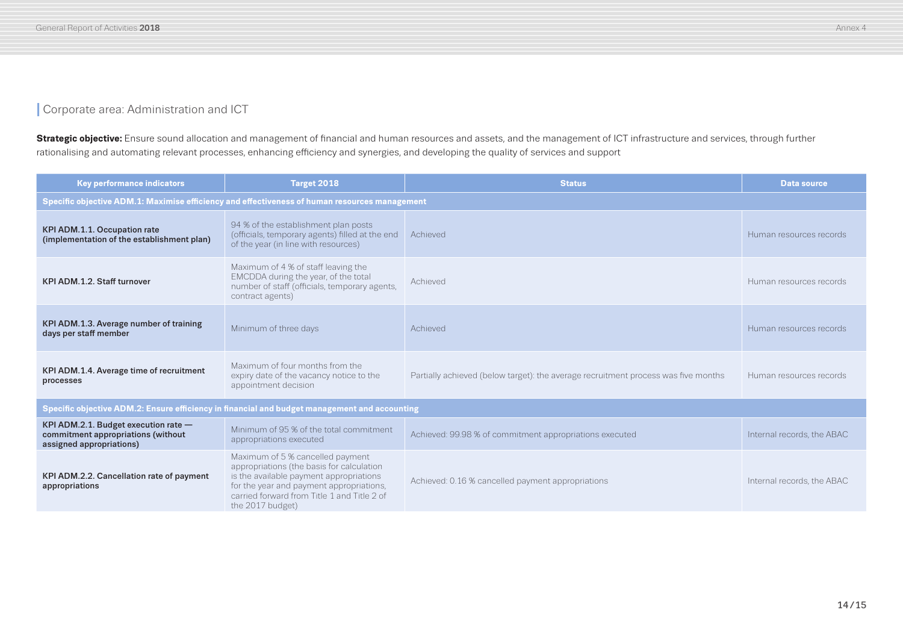## **Corporate area: Administration and ICT**

Strategic objective: Ensure sound allocation and management of financial and human resources and assets, and the management of ICT infrastructure and services, through further rationalising and automating relevant processes, enhancing efficiency and synergies, and developing the quality of services and support

| <b>Key performance indicators</b>                                                                      | Target 2018                                                                                                                                                                                                                             | <b>Status</b>                                                                      | <b>Data source</b>         |  |
|--------------------------------------------------------------------------------------------------------|-----------------------------------------------------------------------------------------------------------------------------------------------------------------------------------------------------------------------------------------|------------------------------------------------------------------------------------|----------------------------|--|
| Specific objective ADM.1: Maximise efficiency and effectiveness of human resources management          |                                                                                                                                                                                                                                         |                                                                                    |                            |  |
| KPI ADM.1.1. Occupation rate<br>(implementation of the establishment plan)                             | 94 % of the establishment plan posts<br>(officials, temporary agents) filled at the end<br>of the year (in line with resources)                                                                                                         | Achieved                                                                           | Human resources records    |  |
| KPI ADM.1.2. Staff turnover                                                                            | Maximum of 4 % of staff leaving the<br>EMCDDA during the year, of the total<br>number of staff (officials, temporary agents,<br>contract agents)                                                                                        | Achieved                                                                           | Human resources records    |  |
| KPI ADM.1.3. Average number of training<br>days per staff member                                       | Minimum of three days                                                                                                                                                                                                                   | Achieved                                                                           | Human resources records    |  |
| KPI ADM.1.4. Average time of recruitment<br>processes                                                  | Maximum of four months from the<br>expiry date of the vacancy notice to the<br>appointment decision                                                                                                                                     | Partially achieved (below target): the average recruitment process was five months | Human resources records    |  |
| Specific objective ADM.2: Ensure efficiency in financial and budget management and accounting          |                                                                                                                                                                                                                                         |                                                                                    |                            |  |
| KPI ADM.2.1. Budget execution rate -<br>commitment appropriations (without<br>assigned appropriations) | Minimum of 95 % of the total commitment<br>appropriations executed                                                                                                                                                                      | Achieved: 99.98 % of commitment appropriations executed                            | Internal records, the ABAC |  |
| KPI ADM.2.2. Cancellation rate of payment<br>appropriations                                            | Maximum of 5 % cancelled payment<br>appropriations (the basis for calculation<br>is the available payment appropriations<br>for the year and payment appropriations,<br>carried forward from Title 1 and Title 2 of<br>the 2017 budget) | Achieved: 0.16 % cancelled payment appropriations                                  | Internal records, the ABAC |  |